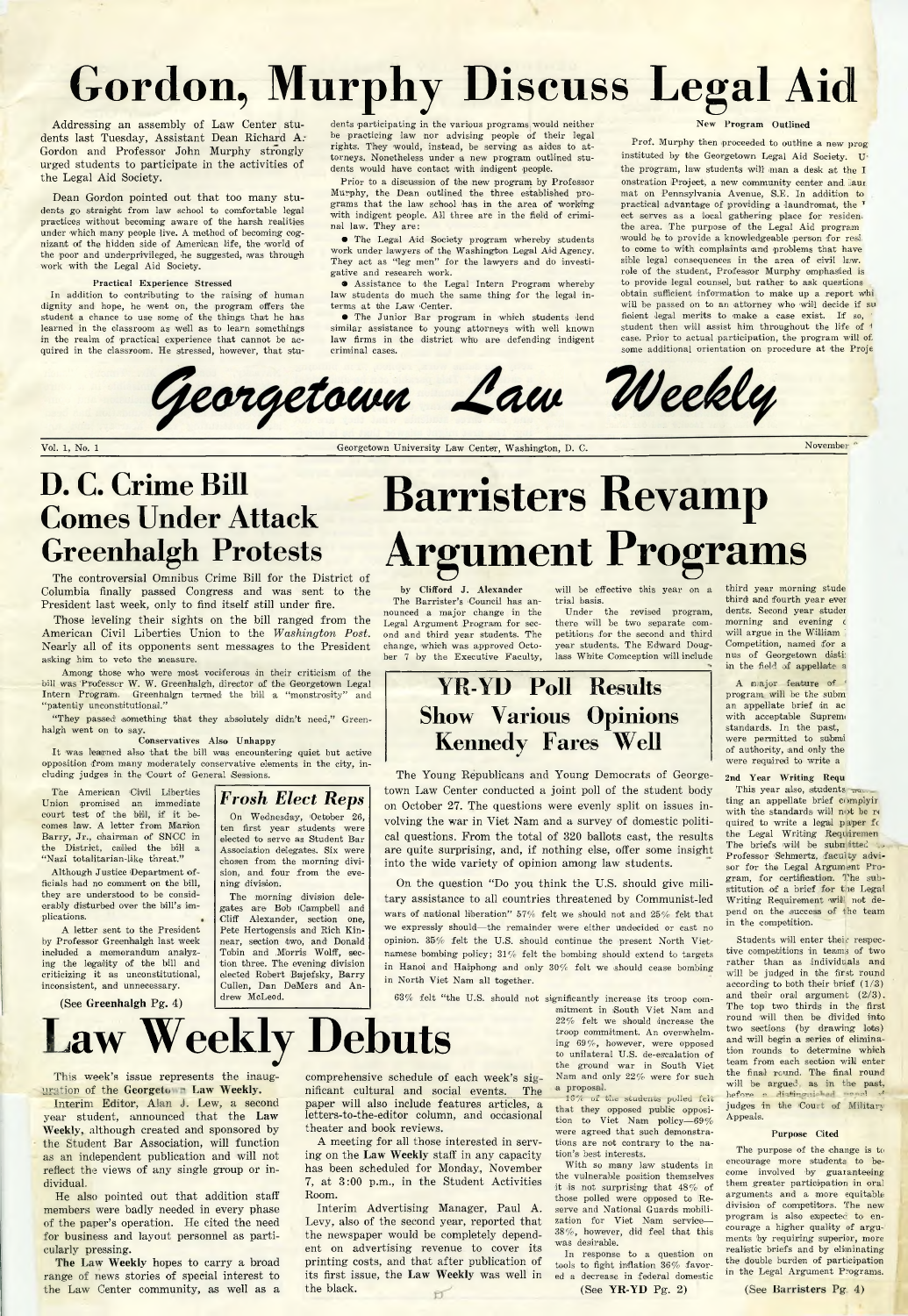# **Gordon, Murphy Discuss Legal Aid**

**Addressing an assembly of Law Center students last Tuesday, Assistant Dean Richard A.' Gordon and Professor John Murphy strongly urged students to participate in the activities of the Legal Aid Society.**

**Dean Gordon pointed out that too many students go straight from law school to comfortable legal practices without becoming aware of the harsh realities under which many people live. A method of becoming cognizant of the hidden side of American life, the world of the poor and underprivileged, he suggested, was through work with the Legal Aid Society.**

#### **Practical Experience Stressed**

**In addition to contributing to the raising of human dignity and hope, he went on, the program offers the student a chance to use some of the things that he has learned in the classroom as well as to learn somethings in the realm of practical experience that cannot be acquired in the classroom. He stressed, however, that stu-**

**dents participating in the various programs would neither be practicing law nor advising people of their legal rights. They would, instead, be serving as aides to attorneys. Nonetheless under a new program outlined students would have contact with indigent people.**

**Prior to a discussion of the new program by Professor Murphy, the Dean outlined the three established programs that the law school has in the area of working** with indigent people. All three are in the field of crimi**nal law. They are:**

*9* **The Legal Aid Society program whereby students work under lawyers of the Washington Legal Aid Agency. They act as "leg men" for the lawyers and do investigative and research work.**

**• Assistance to the Legal Intern Program whereby law students do much the same thing for the legal interms at the Law 'Center.**

**• The Junior Bar program in which students lend similar assistance to young attorneys with well known law firms in the district who are defending indigent criminal cases.**

#### **New Program Outlined**

**Prof. Murphy then proceeded to outline a new prog instituted by the Georgetown Legal Aid Society. U the program, law students will man a desk at the I** onstration Project, a new community center and laur **mat on Pennsylvania Avenue, S.E. In addition to practical advantage of providing a laundromat, the T ect serves as a local gathering place for residen. the area. The purpose of the Legal Aid program would be to provide a knowledgeable person for rest to come to with complaints and problems that have sible legal consequences in the area of civil law. role of the student, Professor Murphy emphasied is to provide legal counsel, but rather to ask questions obtain sufficient information to make up a report whi will be passed on to an attorney who will decide if su** ficient legal merits to make a case exist. If so, **student then will assist him throughout the life of** *1* **case. Prior to actual participation, the program will of some additional orientation on procedure at the Proje**



Vol. 1, No. 1 Georgetown University Law Center, Washington, D. C. November

# **D. C. Crime Bill Comes Under Attack Greenhalgh Protests**

**The controversial Omnibus Crime Bill for the District of Columbia finally passed Congress and was sent to the President last week, only to find itself still under fire.**

**Those leveling their sights on the bill ranged from the American Civil Liberties Union to the** *Washington Post.* **Nearly all of its opponents sent messages to the President asking him to veto the measure.**

**Among those who were most vociferous in their criticism of the bill was Professor W. W. Greenhalgh, director of the Georgetown Legal Intern Program. Greenhalgn termed the bill a "monstrosity" and ''patently unconstitutional."**

"They passed something that they absolutely didn't need," Green**halgh went on to say.**

**Conservatives Also Unhappy**

**It was learned also that the bill was encountering quiet but active opposition from many moderately conservative elements in the city, including judges in the 'Court of General (Sessions.**

**The American Civil Liberties Union promised an immediate court test of the bill, if it becomes law. A letter from Marion Barry, Jr., chairman of SNGC In the District, called the bill a " Nazi totalitarian-like threat."**

**Although Justice /Department officials had no comment on the bill, they are understood to be considerably disturbed over the bill's implications. #**

**A letter sent to the President by Professor Greenhalgh last week included a memorandum analyzing the legality of the bill and criticizing it as unconstitutional, inconsistent, and unnecessary.**

**(See Greenhalgh Pg. 4)**

**dividual.**

**cularly pressing.**

**This week's issue represents the inaug**uration of the Georgeto Law Weekly. **Interim Editor, Alan J. Lew, a second year student, announced that the Law Weekly, although created and sponsored by the Student Bar Association, will function as an independent publication and will not reflect the views of any single group or in-**

**He also pointed out that addition staff members were badly needed in every phase of the paper's operation. He cited the need for business and layout personnel as parti-**

**The Law Weekly hopes to carry a broad range of news stories of special interest to the Law Center community, as well as a**

#### *Frosh Elect Reps* **On Wednesday, October 26, ten first year students were elected to serve as Student Bar Association delegates. Six were chosen from the morning divi-**

**sion, and four from the evening division. The morning division delegates are Bob Campbell and Cliff Alexander, section one,** Pete Hertogensis and Rich Kin**near, section two, and Donald Tobin and Morris Wolff, section three. The evening division elected Robert Bajefsky, Barry Cullen, Dan DeMers and Andrew McLeod.**

**Law Weekly Debuts**

**Barristers Revamp Argument Programs**

**by Clifford J. Alexander The Barrister's Council has announced a major change in the Legal Argument Program for second and third year students. The change, which was approved October 7 by the Executive Faculty,**

**will be effective this year on a trial basis.**

**Under the revised program, there will be two separate competitions for the second and third year students. The Edward Douglass White Comception will include**

## YR-YD **Poll Results Show Various Opinions Kennedy Fares Well**

**The Young Republicans and Young Democrats of Georgetown Law Center conducted a joint poll of the student body on October 27. The questions were evenly split on issues involving the war in Viet Nam and a survey of domestic political questions. From the total of 320 ballots cast, the results are quite surprising, and, if nothing else, offer some insight into the wide variety of opinion among law students.**

On the question "Do you think the U.S. should give mili**tary assistance to all countries threatened by Communist-led wars of national liberation" 57% felt we should not and 25% felt that we expressly should— the remainder were either undecided or cast no opinion. 35% felt the U.S. should continue the present North Vietnamese bombing palley; 31%' felt the bombing should extend to targets** in Hanoi and Haiphong and only 30% felt we should cease bombing **in North Viet Nam all together.**

**63% felt "the U.S. should not significantly increase its troop commitment in iSouth Viet Nam and 22% felt we should increase the troop commitment. An overwhelming 69%), however, were opposed to unilateral U.S. de-escalation of the ground war in South Viet Nam and only 22% were for such** a proposal.

16% of the students polled felt **that they opposed public opposition to Viet Nam policy— 69% were agreed that such demonstrations are not contrary to the nation's best interests.**

**With so many law students in the vulnerable position themselves it is not surprising that 48% of those polled were opposed to Reserve and National Guards mobilization for Viet Nam service^— 38% , however, did feel that this was desirable.**

**In response to a question on tools to fight inflation 36% favored a decrease in federal domestic**

**(See YR -YD Pg. 2)**

**third year morning stude third and fourth year ever dents. Second year studer morning and evening c will argue in the William '** Competition, named for a **nus of Georgetown disti: in the field of appellate a**

**A major feature of** *4* **program will be the subm an appellate brief in ac** with acceptable Supreme **standards. In the past, were permitted to submi of authority, and only the were required to write a**

#### **2nd Year Writing Requ**

**This year also, students ting an appellate brief complyir with the standards will not be re quired to write a legal paper fc** the Legal Writing Requiremen **The briefs will be submitted** Professor Schmertz, faculty advi**sor for the Legal Argument Program, for certification. The substitution of a brief for the Legal Writing Requirement will not depend on the (success of the team in the competition.**

Students will enter their respec**tive competitions in teams of two rather than as individuals and will be judged in the first round according to both their brief (1/3)** and their oral argument  $(2/3)$ . **The top two thirds in the first round will then be divided into two sections! (by drawing lots) and will begin a series of elimination rounds to determine which team from each section will enter the final round. The final round will be argued as in the past,** before a distinguished senal v **judges in the 'Court of Military Appeals.**

#### **Purpose Cited**

**The purpose of the change is to encourage more students to become involved by guaranteeing' them greater participation in oral arguments and a more equitable division of competitors. The new** program is also expected to en**courage a higher quality of arguments by requiring superior, more realistic briefs and by eliminating the double burden of participation in the Legal Argument Programs.**

**(See Barristers Pg 4)**

**comprehensive schedule of each week's significant cultural and social events. The paper will also include features articles, a letters-to-the-editor column, and occasional**

**A meeting for all those interested in serving on the Law Weekly staff in any capacity has been scheduled for Monday, November 7, at 3:00 p.m., in the Student Activities**

**Interim Advertising Manager, Paul A. Levy, also of the second year, reported that the newspaper would be completely dependent on advertising revenue to cover its printing costs, and that after publication of**

**theater and book reviews.**

**Room.**

**the black.**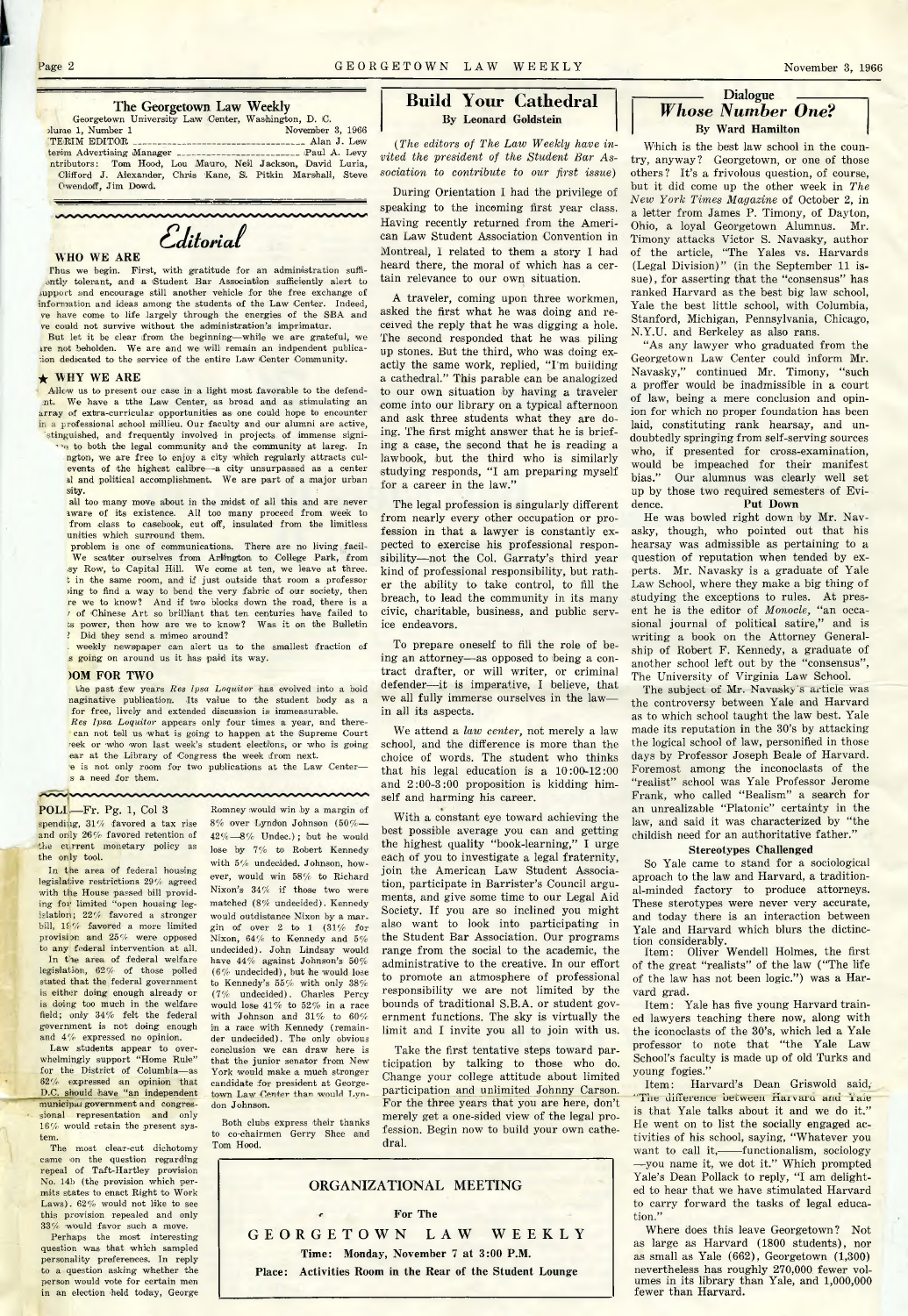# $$

#### **WHO WE ARE**

**Thus we begin. First, with gratitude for an administration suffiantly tolerant, and a (Student Bar Association sufficiently alert to support end encourage still another vehicle for the free exchange of information and ideas among the students of the Law Center. Indeed, ve have come to life largely through the energies of the SBA and ve could not survive without the administration's imprimatur.**

**But let it be clear from the beginning— while we are grateful, we ire not beholden. We are and we will remain an indpendent publica- 'ion dedicated to the service of the entire Law (Center Community.**

#### $\star$  WHY WE ARE

**Allow us to present our case in a light most favorable to the defendnt. We have a tthe Law Center, as broad and as stimulating an array of extra-curricular opportunities as one could hope to encounter in a professional school millieu. Our faculty and our alumni are active,**

stinguished, and frequently involved in projects of immense signi**to both the legal community and the community at lareg. In ngton, we are free to enjoy a city which regularly attracts culevents of the highest calibre— a city unsurpassed as a center ail and political accomplishment. We are part of a major urban sity. (**

**all too many move about in the midst of all this and are never aware of its existence. All too many proceed from week to from class to casebook, cut off, insulated from the limitless unities which surround them.**

problem is one of communications. There are no living facil-**We scatter ourselves from Arlington to 'College Park, from ,isy Row, to Capital Hill. We come at ten, we leave at three, fc in the same room, and if just outside that room a professor )ing to find a way to bend the very fabric of our society, then re we to know? And if two blocks down the road, there is a** *t* of Chinese Art so brilliant that ten centuries have failed to **bs power, then how are we to know?** Was it on the Bulletin **? Did they send a mimeo around?**

**. weekly newspaper can alert us to the smallest fraction of s going on around us it has paid its way.**

#### **)OM FOR TWO**

*the past few years Res Ipsa Loquitor* has evolved into a bold naginative publication. Its value to the student body as a **for free, lively and extended discussion is immeasurable.** *Res Ipsa Loquitor* **appears only four times a year, and therecan not tell us what is going to happen at the Supreme Court reek or who won last week's student elections, or who is going ear at the Library of Congress the week from next, e is not only room for two publications at the Law Center—**

**s a need for them.**

 $\sim$ 

**POLL,— Fr. Pg. 1, Col 3**

**spending, 31 % favored a tax rise and onlly 26% favored retention of the current monetary policy as the only tool.**

**In the area of federal housing legislative restrictions 29% agreed with the House passed bill providing for limited "open housing leg**islation; 22% favored a stronger **bill, 19% favored a more limited provision and 25% were opposed** to any federal intervention at all. **In the area of federal welfare legislation, 62% of those polled**

**stated that the federal government is either doing enough already or** is doing too much in the welfare **field; only 34% felt the federal government is not doing enough** and  $4\%$  expressed no opinion.

Law students appear to over**whelmingly support "Home Rule" for the District of Columbia— as 62%' expressed an opinion that** D.C. should have "an independent **municipal government and congressional representation and only 16%' would retain the present system.**

**The most clear-cut dichotomy came on the question regarding repeal of Taft-Hartley provision No. 14b (the provision which permits states to enact Right to Work Laws). 62% would not like to see this provision repealed and only 33% "Would favor such a move.**

**Perhaps the most interesting question was that which sampled personality preferences. In reply to a question asking whether the person would vote for certain men in an election held today, George**

**Romney would win by a margin of 8% over Lyndon Johnson (50% —** 42% -8% Undec.); but he would **lose by 7% to Robert Kennedy with 5% undecided. Johnson, however, would win 58% to Richard Nixon's 34% if those two were matched (8% undecided). Kennedy would outdistance Nixon by a margin of over 2 to 1 (31% for Nixon, 64% to Kennedy and 5% undecided). John Lindsay would have 44% against Johnson's 50% (6%' undecided), but he would lose to Kennedy's 55% with only 38% (7% undecided). Charles Percy would lose 41% to 52% in a race with Johnson and 31% to 60% in a race with Kennedy (remainder undecided). The only obvious conclusion we can draw here is that the junior senator from New** York would make a much stronger **candidate for president at Georgetown Law Center than would Lyndon Johnson.**

<u>nnnnnnnnnnnnn</u>

**Both clubs express their thanks to co-chairmen Gerry Shee and Tom Hood.**

### **Build Your Cathedral By Leonard Goldstein**

*(The editors of The Law Weekly have invited the president of the Student Bar Association to contribute to our first issue)*

**During Orientation I had the privilege of speaking to the incoming first year class. Having recently returned from the American Law Student Association Convention in Montreal, I related to them a story I had heard there, the moral of which has a certain relevance to our own situation.**

**A traveler, coming upon three workmen, asked the first what he was doing and received the reply that he was digging a hole. The second responded that he was piling up stones. But the third, who was doing ex**actly the same work, replied, "I'm building **a cathedral/' This parable can be analogized to our own situation by having a traveler come into our library on a typical afternoon and ask three students what they are doing. The first might answer that he is briefing a case, the second that he is reading a lawbook, but the third who is similarly** studying responds, "I am preparing myself for a career in the law."

**The legal profession is singularly different from nearly every other occupation or profession in that a lawyer is constantly expected to exercise his professional responsibility— not the Col. Garraty's third year kind of professional responsibility, but rather the ability to take control, to fill the breach, to lead the community in its many civic, charitable, business, and public service endeavors.**

**To prepare oneself to fill the role of being an attorney— as opposed to being a contract drafter, or will writer, or criminal defender— it is imperative, I believe, that we all fully immerse ourselves in the law in all its aspects.**

**We attend a** *law center***, not merely a law school, and the difference is more than the choice of words. The student who thinks that his legal education is a 10:00-12:00 and 2:00-3:00 proposition is kidding himself and harming his career.**

**With a constant eye toward achieving the best possible average you can and getting the highest quality 4"book-learning," I urge each of you to investigate a legal fraternity, join the American Law Student Association, participate in Barrister's Council arguments, and give some time to our Legal Aid Society. If you are so inclined you might also want to look into participating in the Student Bar Association. Our programs range from the social to the academic, the administrative to the creative. In our effort to promote an atmosphere of professional responsibility we are not limited by the bounds of traditional S.B.A. or student government functions. The sky is virtually the limit and I invite you all to join with us.**

**Take the first tentative steps toward participation by talking to those who do. Change your college attitude about limited participation and unlimited Johnny Carson. For the three years that you are here, don't merely get a one-sided view of the legal profession. Begin now to build your own cathedral.**



#### $-$ Dialogue *Whose Number One?* **By Ward Hamilton**

**Which is the best law school in the country, anyway? Georgetown, or one of those others? It's a frivolous question, of course, but it did come up the other week in** *The New York Times Magazine* **of October 2, in a letter from James P. Timony, of Dayton, Ohio, a loyal Georgetown Alumnus. Mr. Timony attacks Victor S. Navasky, author of the article, "The Yales vs. Harvards (Legal Division)" (in the September 11 issue), for asserting that the "consensus" has ranked Harvard as the best big law school, Yale the best little school, with Columbia, Stanford, Michigan, Pennsylvania, Chicago, N.Y.U. and Berkeley as also rans.**

**"'As any lawyer who graduated from the Georgetown Law Center could inform Mr. Navasky," continued Mr. Timony, " such a proffer would be inadmissible in a court of law, being a mere conclusion and opinion for which no proper foundation has been laid, constituting rank hearsay, and undoubtedly springing from self-serving sources who, if presented for cross-examination, would be impeached for their manifest bias." Our alumnus was clearly well set up by those two required semesters of Evidence. Put Down**

**He was bowled right down by Mr. Navasky, though, who pointed out that his hearsay was admissible as pertaining to a question of reputation when tended by experts. Mr. Navasky is a graduate of Yale Law School, where they make a big thing of studying the exceptions to rules. At pres**ent he is the editor of *Monocle*, "an occa**sional journal of political satire," and is writing a book on the Attorney Generalship of Robert F. Kennedy, a graduate of another school left out by the "consensus", The University of Virginia Law School.**

The subject of Mr. Navasky's article was **the controversy between Yale and Harvard as to which school taught the law best. Yale made its reputation in the 30's by attacking the logical school of law, personified in those days by Professor Joseph Beale of Harvard. Foremost among the inconoclasts of the "realist" school was Yale Professor Jerome Frank, who called "Bealism" a search for an unrealizable "Platonic" certainty in the law, and said it was characterized by "the childish need for an authoritative father."**

#### **Stereotypes Challenged**

**So Yale came to stand for a sociological aproach to the law and Harvard, a traditional-minded factory to produce attorneys. These sterotypes were never very accurate, and today there is an interaction between Yale and Harvard which blurs the dictinction considerably.**

**Item: Oliver Wendell Holmes, the first of the great "realists" of the law ("The life of the law has not been logic.") was a Harvard grad.**

**Item: Yale has five young Harvard trained lawyers teaching there now, along with the iconoclasts of the 30's, which led a Yale professor to note that "the Yale Law School's faculty is made up of old Turks and young fogies."**

Item: Harvard's Dean Griswold said, The difference between Harvard and laie **is that Yale talks about it and we do it." He went on to list the socially engaged activities of his school, saying, "Whatever you want to call it,------- functionalism, sociology — you name it, we dot it." Which prompted Yale's Dean Pollack to reply, "I am delighted to hear that we have stimulated Harvard to carry forward the tasks of legal education."**

**Where does this leave Georgetown? Not as large as Harvard (1800 students), nor as small as Yale (662), Georgetown (1,300) nevertheless has roughly 270,000. fewer volumes in its library than Yale, and 1,000,000 fewer than Harvard.**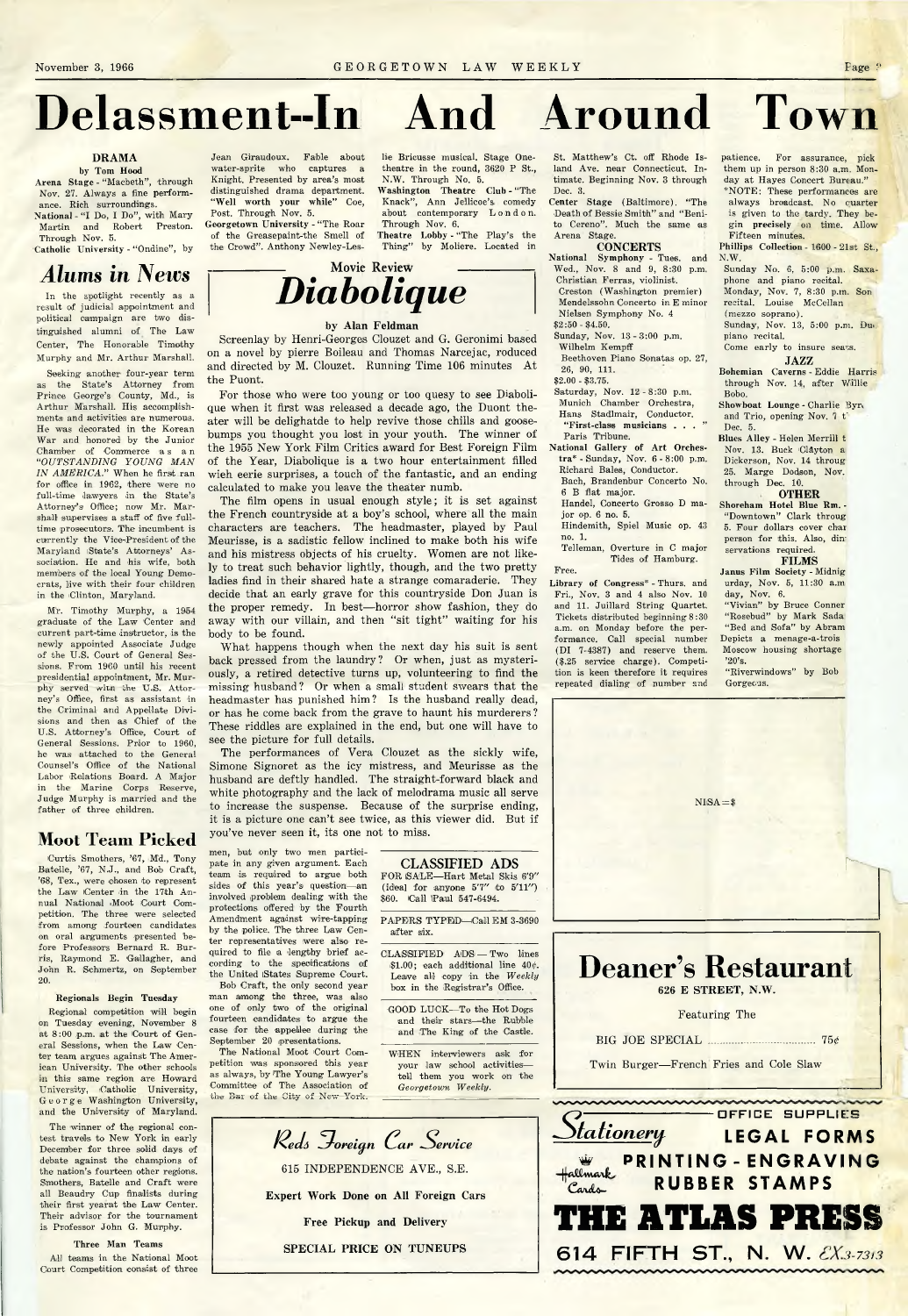# **Delassment--In And Around Town**

#### **DRAMA**

**by Tom Hood Arena Stage - "Macbeth", through Nov. 27. Always a fine performance. Rich surroundings. N ational-"I Do, I Do", with Mary**

**Martin and Robert Preston. Through Nov. 5.**

Catholic University - "Ondine", by

## *Alums in News*

**In the spotlight recently as a result 0)f judicial appointment and political campaign are two distinguished alumni of The Law Center, The Honorable Timothy Murphy and Mr. Arthur Marshall.**

**Seeking another four-year term as the State's Attorney from Prince George's County, Md., is Arthur Marshall. His accomplishments and activities are numerous. He was decorated in the Korean War and honored by the Junior** Chamber of Commerce as an *" OUTSTANDING YOUNG MAN IN AMERICA***." When he first ran for office in 1962, there were no full-time lawyers in the State's Attorney's Office; now Mr. Mar**shall supervises a staff of five full**time prosecutors. The incumbent is currently the Vice-President of the** Maryland State's Attorneys' As**sociation. He and his wife, both members of the local Young Democrats, live with their four children in the Clinton, Maryland.**

**Mr. Timothy Murphy, a 1954 graduate of the Law Center and current part-time instructor, is the newly appointed Associate Judge of the U.S. Court of General Sessions. From 1960 until his recent presidential appointment, Mr. Murphy served with bhe U.S. Attorney's Office, first as assistant in the Criminal arid Appellate Divisions and then as Chief of the U.S. Attorney's Office, Court of General Sessions. Prior to 1960, he was attached to the General Counsel's Office of the National Labor Relations Board. A Major in the Marine Corps Reserve, Judge Murphy is married and the father of three children.**

### **Moot Team Picked**

**Curtis Smothers, '67, Md., Tony Batelle, '67, N.J., and Bob Craft, '68, Tex., were chosen to represent** the Law Center in the 17th An**nual National iMoot Court Competition. The three were selected from among fourteen candidates on oral arguments presented before Professors Bernard R. Burris, Raymond E. Gallagher, and John R. Schmertz, on September 20.**

#### **Regionals Begin Tuesday**

**Regional competition will begin on Tuesday evening, November 8 at 8:00 p.m. at the (Court of General Sessions, when the Law Center team argues against The American University. The other schools in this same region are Howard U niversity, Catholic U niversity, George Washington University, and the University of Maryland.**

**The winner of the regional contest travels to New York in early December for three solid days of debate against the champions of the nation's fourteen other regions. Smothers, Batelle and Craft were all Beaudry Cup finalists during** their first yearat the Law Center. **Their advisor for the tournament is Professor John G. Murphy.**

**Three Man Teams All teams in the National Moot Court Competition consist of three**

**Jean Giraudoux. Fable about water-sprite who captures a Knight. Presented by area's most distinguished drama department. "Well worth your while" Coe, Post. Through Nov. 5. Georgetown University - "The Roar**

**of the Greasepaint-the Smell of** the Crowd". Anthony Newley-Les**lie Bricusse musical. Stage Onetheatre in the round, 3620 P St., N.W. Through No. 5.**

**Washington Theatre Club - "The Knack", Ann Jellicoe's comedy** about contemporary L o n d o n. **Through Nov. 6.**

**Theatre Lobby - "The Play's the Thing" by Moliere. Located in**



**Screenlay by Henri-Georges Clouzet and G. Geronimi based on a novel by pierre Boileau and Thomas Narcejac, reduced** and directed by M. Clouzet. Running Time 106 minutes At **the Puont.**

**For those who were too young or too quesy to see Diabolique when it first was released a decade ago, the Duont theater will be delighatde to help revive those chills and goosebumps you thought you lost in your youth. The winner of the 1955 New York Film Critics award for Best Foreign Film of the Year, Diabolique is a two hour entertainment filled wieh eerie surprises, a touch of the fantastic, and an ending calculated to make you leave the theater numb.**

**The film opens in usual enough style; it is set against the French countryside at a boy's school, where all the main characters are teachers. The headmaster, played by Paul Meurisse, is a sadistic fellow inclined to make both his wife and his mistress objects of his cruelty. Women are not likely to treat such behavior lightly, though, and the two pretty ladies find in their shared hate a strange comaraderie. They decide that an early grave for this countryside Don Juan is the proper remedy. In best— horror show fashion, they do** away with our villain, and then "sit tight" waiting for his **body to be found.**

**What happens though when the next day his suit is sent back pressed from the laundry? Or when, just as mysteriously, a retired detective turns up, volunteering to find the missing husband? Or when a small student swears that the headmaster has punished him? Is the husband really dead, or has he come back from the grave to haunt his murderers? These riddles are explained in the end, but one will have to see the picture for full details.**

**The performances of Vera Clouzet as the sickly wife, Simone Signoret as the icy mistress, and Meurisse as the husband are deftly handled. The straight-forward black and white photography and the lack of melodrama music all serve to increase the suspense. Because of the surprise ending, it is a picture one can't see twice, as this viewer did. But if you've never seen it, its one not to miss.**

**men, but only two men participate in any given argument. Each team is required to argue both sides of this year's question— an involved problem dealing with the protections offered by the Fourth Amendment against wire-tapping by the police. The three Law Center representatives were also required to file a lengthy brief according to the sipecificatlons of the United iStates Supreme Court.**

**Bob Craft, the only second year man among the three, was also one of only two of the original fourteen candidates to argue the case for the appellee during the September 20 presentations.**

**The National Moot Court Competition was sponsored this year as always, by The Young Lawyer's Committee of The Association of the Bar of the City of New York.**

**CLASSIFIED ADS FOR ©ALE— Hart Metal Skis 6'9"**  $(id$ eal for anyone  $5'7''$  to  $5'11'')$ **\$60. (Call iPaul 547-6494.**

**PAPERS TYPED— Call EM 3-3690 after six.**

**CLASSIFIED ADS — Two lines i\$1.00; each additional line 40 Leave all copy in the** *Weekly* **box in the (Registrar's Office.**

GOOD LUCK-To the Hot Dogs **and their stars— the Rubble and The King of the Castle.**

**W HEN interviewers ask for your law school activities tell them you work on the** *Georgetown Weekly.*



**St. Matthew's Ct. off Rhode Island Ave. near Connecticut. Intimate. Beginning Nov. 3 through Dec. 3.**

**Center Stage (Baltimore). "The Death of Bessie Smith" and " Benito Cereno". Much the same as**

**Arena Stage. CONCERTS**

**National Symphony - Tues. and Wed., Nov. 8 and 9, 8:30 p.m. Christian Ferras, violinist.**

**Creston (Washington premier) Mendelssohn Concerto in E minor**

**Nielsen Symphony No. 4 \$2:50 - \$4.50.**

**Sunday, Nov. 13 - 3:00 p.m. Wilhelm Kempff**

**Beethoven Piano Sonatas op. 27, 26, 90, 111.**

**\$2.00 - \$3.75.**

**Saturday, Nov. 12 - 8:30 p.m. Munich Chamber Orchestra, Hans Stadlmair, Conductor. "First-class musicians . . . "**

**Paris Tribune. National Gallery of Art Orches**tra\* - Sunday, Nov. 6 - 8:00 p.m.

**Richard Bales, Conductor. Bach, Brandenbur Concerto No. 6 B flat major.**

**Handel, Concerto Grosso D major op. 6 no. 5.**

**Hindemith, Spiel Music op. 43 no. 1.**

**Telleman, Overture in C major Tides of Hamburg. Free.**

**Library of Congress\* - Thurs. and Fri., Nov. 3 and 4 also Nov. 10 and 11. Juillard String Quartet. Tickets distributed beginning 8 :30 a.m. on Monday before the performance. Call special number (DI 7-4387) and reserve them. (\$.25 service charge). Competition is keen therefore it requires repeated dialing of number and** **patience. For assurance, pick them up in person 8:30 a.m. Monday at Hayes Concert Bureau."**

**\*NOTE: These performances are always broadcast. No quarter is given to the tardy. They begin precisely on time. Allow**

**Fifteen minutes. Phillips Collection - 1600 - 21st St., N.W.**

**Sunday No. 6, 5:00 p.m. Saxaphone and piano recital.**

**Monday, Nov. 7, 8:30 p.m. Son recital. Louise McCellan**

**(mezzo soprano). Sunday, Nov. 13, 5:00 p.m. Du»**

**piano recital.** Come early to insure seats. **JAZZ**

**Bohemian Caverns - Eddie Harris through Nov. 14, after Willie Bobo.**

**Showboat Lounge - Charlie Byrv and Trio, opening Nov. 7 t' Dec. 5.**

**Blues Alley - Helen Merrill t Nov. 13. Buck Clayton a Dickerson, Nov. 14 throug 25. Marge Dodson, Nov. through Dec. 10.**

**OTHER**

**Shoreham Hotel Blue Rm. - "Downtown" Clark throug 5. Four dollars cover char person for this. Also, din' servations required. FILMS**

**Janus Film Society - Midnig urday, Nov. 5, 11:30 a.m day, Nov. 6.**

**"Vivian" by Bruce Conner "Rosebud" by Mark Sada "Bed and Sofa" by Abram Depicts a menage-a-trois Moscow housing shortage '20's.**

**"Riverwindows" by Bob Gorgeous.**



**614 FIFTH ST., N. W.** *3-73/3*

 $NISA =$ <sup>3</sup>

### **by Alan Feldman**

**Movie Review**